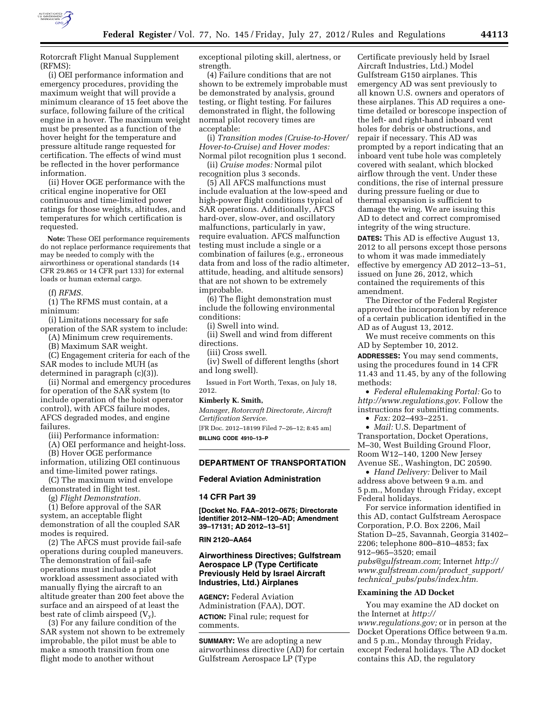

Rotorcraft Flight Manual Supplement (RFMS):

(i) OEI performance information and emergency procedures, providing the maximum weight that will provide a minimum clearance of 15 feet above the surface, following failure of the critical engine in a hover. The maximum weight must be presented as a function of the hover height for the temperature and pressure altitude range requested for certification. The effects of wind must be reflected in the hover performance information.

(ii) Hover OGE performance with the critical engine inoperative for OEI continuous and time-limited power ratings for those weights, altitudes, and temperatures for which certification is requested.

**Note:** These OEI performance requirements do not replace performance requirements that may be needed to comply with the airworthiness or operational standards (14 CFR 29.865 or 14 CFR part 133) for external loads or human external cargo.

(f) *RFMS.* 

(1) The RFMS must contain, at a minimum:

(i) Limitations necessary for safe operation of the SAR system to include:

(A) Minimum crew requirements.

(B) Maximum SAR weight.

(C) Engagement criteria for each of the SAR modes to include MUH (as determined in paragraph (c)(3)).

(ii) Normal and emergency procedures for operation of the SAR system (to include operation of the hoist operator control), with AFCS failure modes, AFCS degraded modes, and engine failures.

(iii) Performance information:

(A) OEI performance and height-loss. (B) Hover OGE performance information, utilizing OEI continuous

and time-limited power ratings. (C) The maximum wind envelope

demonstrated in flight test.

(g) *Flight Demonstration.*  (1) Before approval of the SAR system, an acceptable flight demonstration of all the coupled SAR modes is required.

(2) The AFCS must provide fail-safe operations during coupled maneuvers. The demonstration of fail-safe operations must include a pilot workload assessment associated with manually flying the aircraft to an altitude greater than 200 feet above the surface and an airspeed of at least the best rate of climb airspeed  $(V_v)$ .

(3) For any failure condition of the SAR system not shown to be extremely improbable, the pilot must be able to make a smooth transition from one flight mode to another without

exceptional piloting skill, alertness, or strength.

(4) Failure conditions that are not shown to be extremely improbable must be demonstrated by analysis, ground testing, or flight testing. For failures demonstrated in flight, the following normal pilot recovery times are acceptable:

(i) *Transition modes (Cruise-to-Hover/ Hover-to-Cruise) and Hover modes:*  Normal pilot recognition plus 1 second.

(ii) *Cruise modes:* Normal pilot recognition plus 3 seconds.

(5) All AFCS malfunctions must include evaluation at the low-speed and high-power flight conditions typical of SAR operations. Additionally, AFCS hard-over, slow-over, and oscillatory malfunctions, particularly in yaw, require evaluation. AFCS malfunction testing must include a single or a combination of failures (e.g., erroneous data from and loss of the radio altimeter, attitude, heading, and altitude sensors) that are not shown to be extremely improbable.

(6) The flight demonstration must include the following environmental conditions:

(i) Swell into wind.

(ii) Swell and wind from different directions.

(iii) Cross swell.

(iv) Swell of different lengths (short and long swell).

Issued in Fort Worth, Texas, on July 18, 2012.

### **Kimberly K. Smith,**

*Manager, Rotorcraft Directorate, Aircraft Certification Service.* 

[FR Doc. 2012–18199 Filed 7–26–12; 8:45 am] **BILLING CODE 4910–13–P** 

# **DEPARTMENT OF TRANSPORTATION**

### **Federal Aviation Administration**

## **14 CFR Part 39**

**[Docket No. FAA–2012–0675; Directorate Identifier 2012–NM–120–AD; Amendment 39–17131; AD 2012–13–51]** 

### **RIN 2120–AA64**

# **Airworthiness Directives; Gulfstream Aerospace LP (Type Certificate Previously Held by Israel Aircraft Industries, Ltd.) Airplanes**

**AGENCY:** Federal Aviation Administration (FAA), DOT. **ACTION:** Final rule; request for comments.

**SUMMARY:** We are adopting a new airworthiness directive (AD) for certain Gulfstream Aerospace LP (Type

Certificate previously held by Israel Aircraft Industries, Ltd.) Model Gulfstream G150 airplanes. This emergency AD was sent previously to all known U.S. owners and operators of these airplanes. This AD requires a onetime detailed or borescope inspection of the left- and right-hand inboard vent holes for debris or obstructions, and repair if necessary. This AD was prompted by a report indicating that an inboard vent tube hole was completely covered with sealant, which blocked airflow through the vent. Under these conditions, the rise of internal pressure during pressure fueling or due to thermal expansion is sufficient to damage the wing. We are issuing this AD to detect and correct compromised integrity of the wing structure.

**DATES:** This AD is effective August 13, 2012 to all persons except those persons to whom it was made immediately effective by emergency AD 2012–13–51, issued on June 26, 2012, which contained the requirements of this amendment.

The Director of the Federal Register approved the incorporation by reference of a certain publication identified in the AD as of August 13, 2012.

We must receive comments on this AD by September 10, 2012.

**ADDRESSES:** You may send comments, using the procedures found in 14 CFR 11.43 and 11.45, by any of the following methods:

• *Federal eRulemaking Portal:* Go to *<http://www.regulations.gov>*. Follow the instructions for submitting comments.

• *Fax:* 202–493–2251.

• *Mail:* U.S. Department of Transportation, Docket Operations, M–30, West Building Ground Floor, Room W12–140, 1200 New Jersey Avenue SE., Washington, DC 20590.

• *Hand Delivery:* Deliver to Mail address above between 9 a.m. and 5 p.m., Monday through Friday, except Federal holidays.

For service information identified in this AD, contact Gulfstream Aerospace Corporation, P.O. Box 2206, Mail Station D–25, Savannah, Georgia 31402– 2206; telephone 800–810–4853; fax 912–965–3520; email *[pubs@gulfstream.com](mailto:pubs@gulfstream.com)*; Internet *[http://](http://www.gulfstream.com/product_support/technical_pubs/pubs/index.htm)  [www.gulfstream.com/product](http://www.gulfstream.com/product_support/technical_pubs/pubs/index.htm)*\_*support/* 

*technical*\_*[pubs/pubs/index.htm.](http://www.gulfstream.com/product_support/technical_pubs/pubs/index.htm)* 

## **Examining the AD Docket**

You may examine the AD docket on the Internet at *[http://](http://www.regulations.gov)  [www.regulations.gov;](http://www.regulations.gov)* or in person at the Docket Operations Office between 9 a.m. and 5 p.m., Monday through Friday, except Federal holidays. The AD docket contains this AD, the regulatory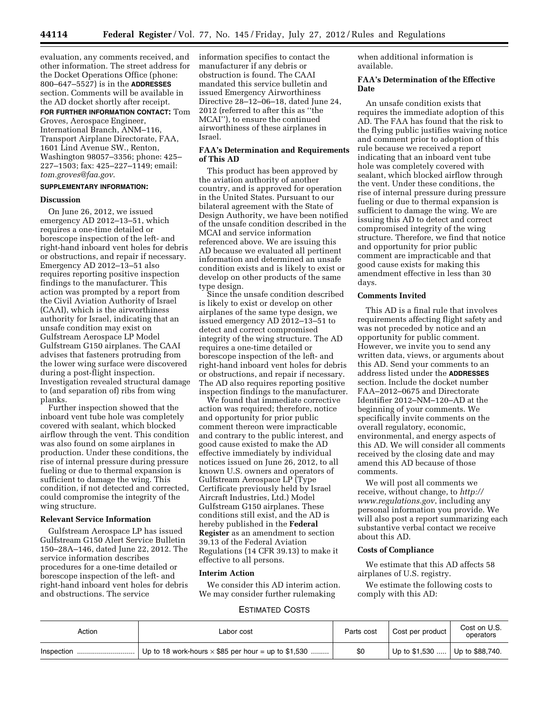evaluation, any comments received, and other information. The street address for the Docket Operations Office (phone: 800–647–5527) is in the **ADDRESSES** section. Comments will be available in the AD docket shortly after receipt.

**FOR FURTHER INFORMATION CONTACT:** Tom Groves, Aerospace Engineer, International Branch, ANM–116, Transport Airplane Directorate, FAA, 1601 Lind Avenue SW., Renton, Washington 98057–3356; phone: 425– 227–1503; fax: 425–227–1149; email: *[tom.groves@faa.gov](mailto:tom.groves@faa.gov)*.

# **SUPPLEMENTARY INFORMATION:**

## **Discussion**

On June 26, 2012, we issued emergency AD 2012–13–51, which requires a one-time detailed or borescope inspection of the left- and right-hand inboard vent holes for debris or obstructions, and repair if necessary. Emergency AD 2012–13–51 also requires reporting positive inspection findings to the manufacturer. This action was prompted by a report from the Civil Aviation Authority of Israel (CAAI), which is the airworthiness authority for Israel, indicating that an unsafe condition may exist on Gulfstream Aerospace LP Model Gulfstream G150 airplanes. The CAAI advises that fasteners protruding from the lower wing surface were discovered during a post-flight inspection. Investigation revealed structural damage to (and separation of) ribs from wing planks.

Further inspection showed that the inboard vent tube hole was completely covered with sealant, which blocked airflow through the vent. This condition was also found on some airplanes in production. Under these conditions, the rise of internal pressure during pressure fueling or due to thermal expansion is sufficient to damage the wing. This condition, if not detected and corrected, could compromise the integrity of the wing structure.

## **Relevant Service Information**

Gulfstream Aerospace LP has issued Gulfstream G150 Alert Service Bulletin 150–28A–146, dated June 22, 2012. The service information describes procedures for a one-time detailed or borescope inspection of the left- and right-hand inboard vent holes for debris and obstructions. The service

information specifies to contact the manufacturer if any debris or obstruction is found. The CAAI mandated this service bulletin and issued Emergency Airworthiness Directive 28–12–06–18, dated June 24, 2012 (referred to after this as ''the MCAI''), to ensure the continued airworthiness of these airplanes in Israel.

### **FAA's Determination and Requirements of This AD**

This product has been approved by the aviation authority of another country, and is approved for operation in the United States. Pursuant to our bilateral agreement with the State of Design Authority, we have been notified of the unsafe condition described in the MCAI and service information referenced above. We are issuing this AD because we evaluated all pertinent information and determined an unsafe condition exists and is likely to exist or develop on other products of the same type design.

Since the unsafe condition described is likely to exist or develop on other airplanes of the same type design, we issued emergency AD 2012–13–51 to detect and correct compromised integrity of the wing structure. The AD requires a one-time detailed or borescope inspection of the left- and right-hand inboard vent holes for debris or obstructions, and repair if necessary. The AD also requires reporting positive inspection findings to the manufacturer.

We found that immediate corrective action was required; therefore, notice and opportunity for prior public comment thereon were impracticable and contrary to the public interest, and good cause existed to make the AD effective immediately by individual notices issued on June 26, 2012, to all known U.S. owners and operators of Gulfstream Aerospace LP (Type Certificate previously held by Israel Aircraft Industries, Ltd.) Model Gulfstream G150 airplanes. These conditions still exist, and the AD is hereby published in the **Federal Register** as an amendment to section 39.13 of the Federal Aviation Regulations (14 CFR 39.13) to make it effective to all persons.

### **Interim Action**

We consider this AD interim action. We may consider further rulemaking

when additional information is available.

## **FAA's Determination of the Effective Date**

An unsafe condition exists that requires the immediate adoption of this AD. The FAA has found that the risk to the flying public justifies waiving notice and comment prior to adoption of this rule because we received a report indicating that an inboard vent tube hole was completely covered with sealant, which blocked airflow through the vent. Under these conditions, the rise of internal pressure during pressure fueling or due to thermal expansion is sufficient to damage the wing. We are issuing this AD to detect and correct compromised integrity of the wing structure. Therefore, we find that notice and opportunity for prior public comment are impracticable and that good cause exists for making this amendment effective in less than 30 days.

# **Comments Invited**

This AD is a final rule that involves requirements affecting flight safety and was not preceded by notice and an opportunity for public comment. However, we invite you to send any written data, views, or arguments about this AD. Send your comments to an address listed under the **ADDRESSES** section. Include the docket number FAA–2012–0675 and Directorate Identifier 2012–NM–120–AD at the beginning of your comments. We specifically invite comments on the overall regulatory, economic, environmental, and energy aspects of this AD. We will consider all comments received by the closing date and may amend this AD because of those comments.

We will post all comments we receive, without change, to *[http://](http://www.regulations.gov) [www.regulations.gov](http://www.regulations.gov)*, including any personal information you provide. We will also post a report summarizing each substantive verbal contact we receive about this AD.

# **Costs of Compliance**

We estimate that this AD affects 58 airplanes of U.S. registry.

We estimate the following costs to comply with this AD:

# ESTIMATED COSTS

| Action     | Labor cost                                                 | Parts cost | Cost per product                 | Cost on U.S.<br>operators |
|------------|------------------------------------------------------------|------------|----------------------------------|---------------------------|
| Inspection | Up to 18 work-hours $\times$ \$85 per hour = up to \$1,530 | \$0        | Up to $$1,530$ Up to $$88,740$ . |                           |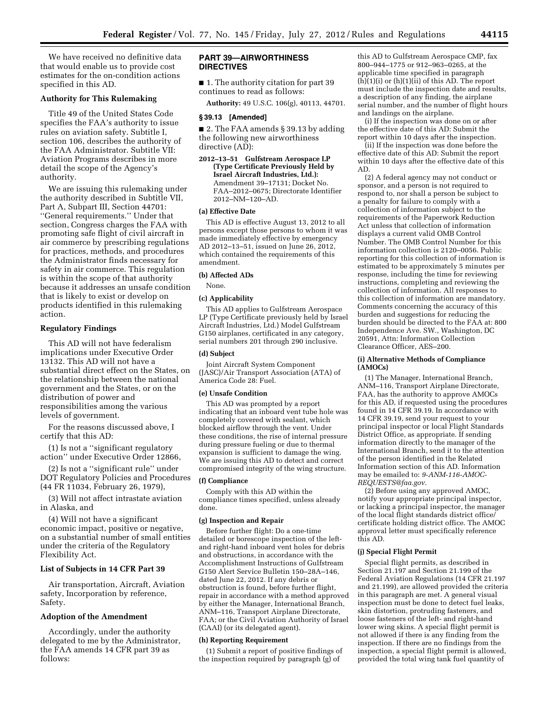We have received no definitive data that would enable us to provide cost estimates for the on-condition actions specified in this AD.

## **Authority for This Rulemaking**

Title 49 of the United States Code specifies the FAA's authority to issue rules on aviation safety. Subtitle I, section 106, describes the authority of the FAA Administrator. Subtitle VII: Aviation Programs describes in more detail the scope of the Agency's authority.

We are issuing this rulemaking under the authority described in Subtitle VII, Part A, Subpart III, Section 44701: ''General requirements.'' Under that section, Congress charges the FAA with promoting safe flight of civil aircraft in air commerce by prescribing regulations for practices, methods, and procedures the Administrator finds necessary for safety in air commerce. This regulation is within the scope of that authority because it addresses an unsafe condition that is likely to exist or develop on products identified in this rulemaking action.

# **Regulatory Findings**

This AD will not have federalism implications under Executive Order 13132. This AD will not have a substantial direct effect on the States, on the relationship between the national government and the States, or on the distribution of power and responsibilities among the various levels of government.

For the reasons discussed above, I certify that this AD:

(1) Is not a ''significant regulatory action'' under Executive Order 12866,

(2) Is not a ''significant rule'' under DOT Regulatory Policies and Procedures (44 FR 11034, February 26, 1979),

(3) Will not affect intrastate aviation in Alaska, and

(4) Will not have a significant economic impact, positive or negative, on a substantial number of small entities under the criteria of the Regulatory Flexibility Act.

# **List of Subjects in 14 CFR Part 39**

Air transportation, Aircraft, Aviation safety, Incorporation by reference, Safety.

### **Adoption of the Amendment**

Accordingly, under the authority delegated to me by the Administrator, the FAA amends 14 CFR part 39 as follows:

## **PART 39—AIRWORTHINESS DIRECTIVES**

■ 1. The authority citation for part 39 continues to read as follows:

**Authority:** 49 U.S.C. 106(g), 40113, 44701.

## **§ 39.13 [Amended]**

■ 2. The FAA amends § 39.13 by adding the following new airworthiness directive (AD):

**2012–13–51 Gulfstream Aerospace LP (Type Certificate Previously Held by Israel Aircraft Industries, Ltd.):**  Amendment 39–17131; Docket No. FAA–2012–0675; Directorate Identifier 2012–NM–120–AD.

### **(a) Effective Date**

This AD is effective August 13, 2012 to all persons except those persons to whom it was made immediately effective by emergency AD 2012–13–51, issued on June 26, 2012, which contained the requirements of this amendment.

# **(b) Affected ADs**

None.

# **(c) Applicability**

This AD applies to Gulfstream Aerospace LP (Type Certificate previously held by Israel Aircraft Industries, Ltd.) Model Gulfstream G150 airplanes, certificated in any category, serial numbers 201 through 290 inclusive.

## **(d) Subject**

Joint Aircraft System Component (JASC)/Air Transport Association (ATA) of America Code 28: Fuel.

### **(e) Unsafe Condition**

This AD was prompted by a report indicating that an inboard vent tube hole was completely covered with sealant, which blocked airflow through the vent. Under these conditions, the rise of internal pressure during pressure fueling or due to thermal expansion is sufficient to damage the wing. We are issuing this AD to detect and correct compromised integrity of the wing structure.

#### **(f) Compliance**

Comply with this AD within the compliance times specified, unless already done.

#### **(g) Inspection and Repair**

Before further flight: Do a one-time detailed or borescope inspection of the leftand right-hand inboard vent holes for debris and obstructions, in accordance with the Accomplishment Instructions of Gulfstream G150 Alert Service Bulletin 150–28A–146, dated June 22, 2012. If any debris or obstruction is found, before further flight, repair in accordance with a method approved by either the Manager, International Branch, ANM–116, Transport Airplane Directorate, FAA; or the Civil Aviation Authority of Israel (CAAI) (or its delegated agent).

#### **(h) Reporting Requirement**

(1) Submit a report of positive findings of the inspection required by paragraph  $(g)$  of

this AD to Gulfstream Aerospace CMP, fax 800–944–1775 or 912–963–0265, at the applicable time specified in paragraph  $(\hat{h})(1)(i)$  or  $(h)(1)(ii)$  of this AD. The report must include the inspection date and results, a description of any finding, the airplane serial number, and the number of flight hours and landings on the airplane.

(i) If the inspection was done on or after the effective date of this AD: Submit the report within 10 days after the inspection.

(ii) If the inspection was done before the effective date of this AD: Submit the report within 10 days after the effective date of this AD.

(2) A federal agency may not conduct or sponsor, and a person is not required to respond to, nor shall a person be subject to a penalty for failure to comply with a collection of information subject to the requirements of the Paperwork Reduction Act unless that collection of information displays a current valid OMB Control Number. The OMB Control Number for this information collection is 2120–0056. Public reporting for this collection of information is estimated to be approximately 5 minutes per response, including the time for reviewing instructions, completing and reviewing the collection of information. All responses to this collection of information are mandatory. Comments concerning the accuracy of this burden and suggestions for reducing the burden should be directed to the FAA at: 800 Independence Ave. SW., Washington, DC 20591, Attn: Information Collection Clearance Officer, AES–200.

### **(i) Alternative Methods of Compliance (AMOCs)**

(1) The Manager, International Branch, ANM–116, Transport Airplane Directorate, FAA, has the authority to approve AMOCs for this AD, if requested using the procedures found in 14 CFR 39.19. In accordance with 14 CFR 39.19, send your request to your principal inspector or local Flight Standards District Office, as appropriate. If sending information directly to the manager of the International Branch, send it to the attention of the person identified in the Related Information section of this AD. Information may be emailed to: *[9-ANM-116-AMOC-](mailto:9-ANM-116-AMOC-REQUESTS@faa.gov)[REQUESTS@faa.gov](mailto:9-ANM-116-AMOC-REQUESTS@faa.gov)*.

(2) Before using any approved AMOC, notify your appropriate principal inspector, or lacking a principal inspector, the manager of the local flight standards district office/ certificate holding district office. The AMOC approval letter must specifically reference this AD.

#### **(j) Special Flight Permit**

Special flight permits, as described in Section 21.197 and Section 21.199 of the Federal Aviation Regulations (14 CFR 21.197 and 21.199), are allowed provided the criteria in this paragraph are met. A general visual inspection must be done to detect fuel leaks, skin distortion, protruding fasteners, and loose fasteners of the left- and right-hand lower wing skins. A special flight permit is not allowed if there is any finding from the inspection. If there are no findings from the inspection, a special flight permit is allowed, provided the total wing tank fuel quantity of